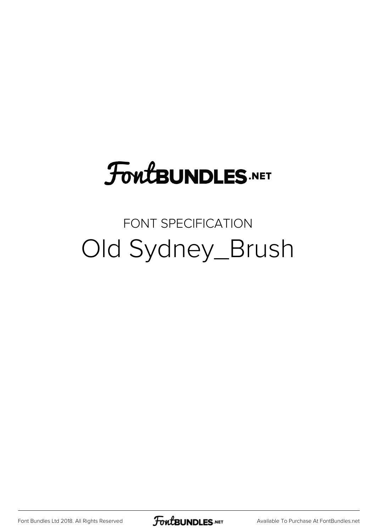# **FoutBUNDLES.NET**

#### FONT SPECIFICATION Old Sydney\_Brush

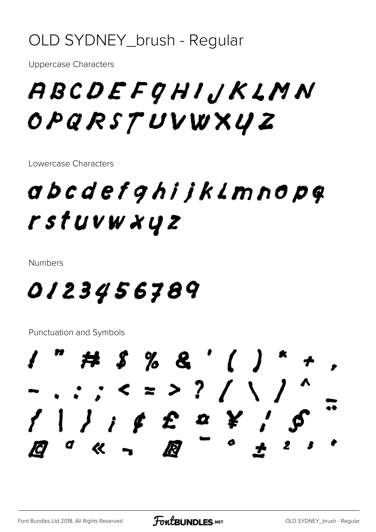#### OLD SYDNEY\_brush - Regular

**Uppercase Characters** 

## ABCDEFGHIJKLMN OPQRSTUVWXYZ

Lowercase Characters

### abcdefghijklmnopg rstuvw xyz

**Numbers** 

#### 0123456789

**Punctuation and Symbols** 

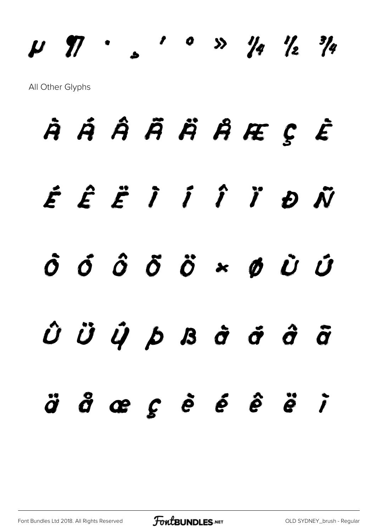# µ ¶ · ¸ ¹ º » ¼ ½ ¾ All Other Glyphs

# À Á Â Ã Ä Å Æ Ç È É Ê Ë Ì Í Î Ï Ð Ñ  $\dot{o}$   $\dot{o}$   $\ddot{o}$   $\ddot{o}$   $\ddot{o}$   $\ddot{o}$   $\ddot{o}$   $\ddot{o}$   $\ddot{o}$   $\ddot{o}$   $\ddot{o}$   $\ddot{o}$   $\ddot{o}$   $\ddot{o}$   $\ddot{o}$   $\ddot{o}$   $\ddot{o}$   $\ddot{o}$   $\ddot{o}$   $\ddot{o}$   $\ddot{o}$   $\ddot{o}$   $\ddot{o}$   $\ddot{o}$   $\ddot{o}$   $\ddot{o}$   $\ddot{o}$   $\ddot{o}$  $\hat{\boldsymbol{U}}$   $\ddot{\boldsymbol{U}}$   $\hat{\boldsymbol{U}}$   $\dot{\boldsymbol{D}}$   $\boldsymbol{B}$   $\dot{\boldsymbol{\sigma}}$   $\ddot{\boldsymbol{\sigma}}$   $\ddot{\boldsymbol{\sigma}}$   $\ddot{\boldsymbol{\sigma}}$ ä å æ ç è é ê ë ì

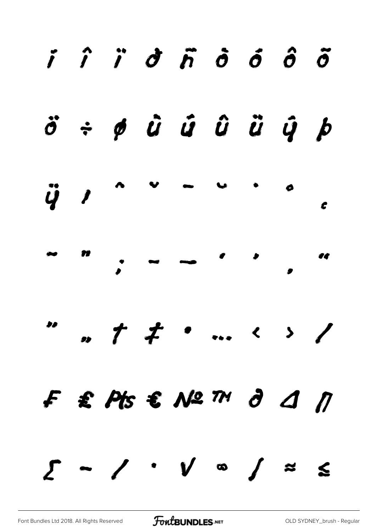